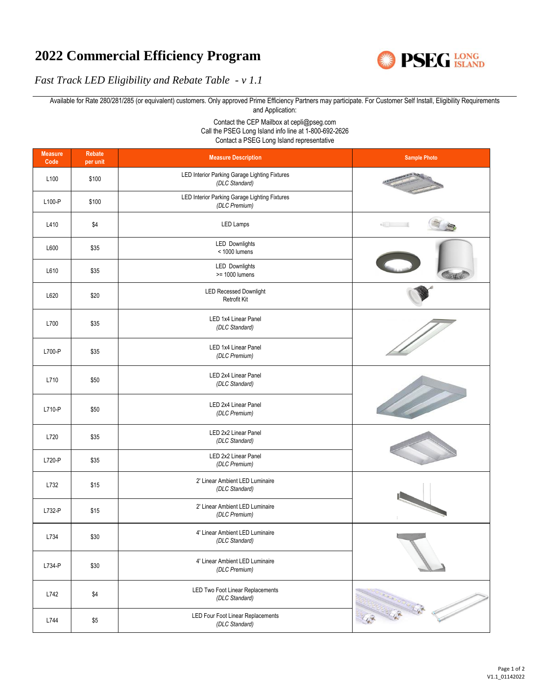## **2022 Commercial Efficiency Program**



*Fast Track LED Eligibility and Rebate Table - v 1.1*

Available for Rate 280/281/285 (or equivalent) customers. Only approved Prime Efficiency Partners may participate. For Customer Self Install, Eligibility Requirements and Application:

> Contact the CEP Mailbox at cepli@pseg.com Call the PSEG Long Island info line at 1-800-692-2626 Contact a PSEG Long Island representative

| <b>Measure</b><br>Code | Rebate<br>per unit | <b>Measure Description</b>                                      | <b>Sample Photo</b>       |
|------------------------|--------------------|-----------------------------------------------------------------|---------------------------|
| L100                   | \$100              | LED Interior Parking Garage Lighting Fixtures<br>(DLC Standard) | <b>AUTOMOTIVE SERVICE</b> |
| L100-P                 | \$100              | LED Interior Parking Garage Lighting Fixtures<br>(DLC Premium)  |                           |
| L410                   | \$4                | LED Lamps                                                       | $\sqrt{10}$               |
| L600                   | \$35               | <b>LED Downlights</b><br>< 1000 lumens                          |                           |
| L610                   | \$35               | <b>LED Downlights</b><br>>= 1000 lumens                         | <b>AUTIVAL</b>            |
| L620                   | \$20               | <b>LED Recessed Downlight</b><br>Retrofit Kit                   |                           |
| L700                   | \$35               | LED 1x4 Linear Panel<br>(DLC Standard)                          |                           |
| L700-P                 | \$35               | LED 1x4 Linear Panel<br>(DLC Premium)                           |                           |
| L710                   | \$50               | LED 2x4 Linear Panel<br>(DLC Standard)                          |                           |
| L710-P                 | \$50               | LED 2x4 Linear Panel<br>(DLC Premium)                           |                           |
| L720                   | \$35               | LED 2x2 Linear Panel<br>(DLC Standard)                          |                           |
| L720-P                 | \$35               | LED 2x2 Linear Panel<br>(DLC Premium)                           |                           |
| L732                   | \$15               | 2' Linear Ambient LED Luminaire<br>(DLC Standard)               |                           |
| L732-P                 | \$15               | 2' Linear Ambient LED Luminaire<br>(DLC Premium)                |                           |
| L734                   | \$30               | 4' Linear Ambient LED Luminaire<br>(DLC Standard)               |                           |
| L734-P                 | \$30               | 4' Linear Ambient LED Luminaire<br>(DLC Premium)                |                           |
| L742                   | \$4                | LED Two Foot Linear Replacements<br>(DLC Standard)              |                           |
| L744                   | $$5\,$             | LED Four Foot Linear Replacements<br>(DLC Standard)             | The The The               |